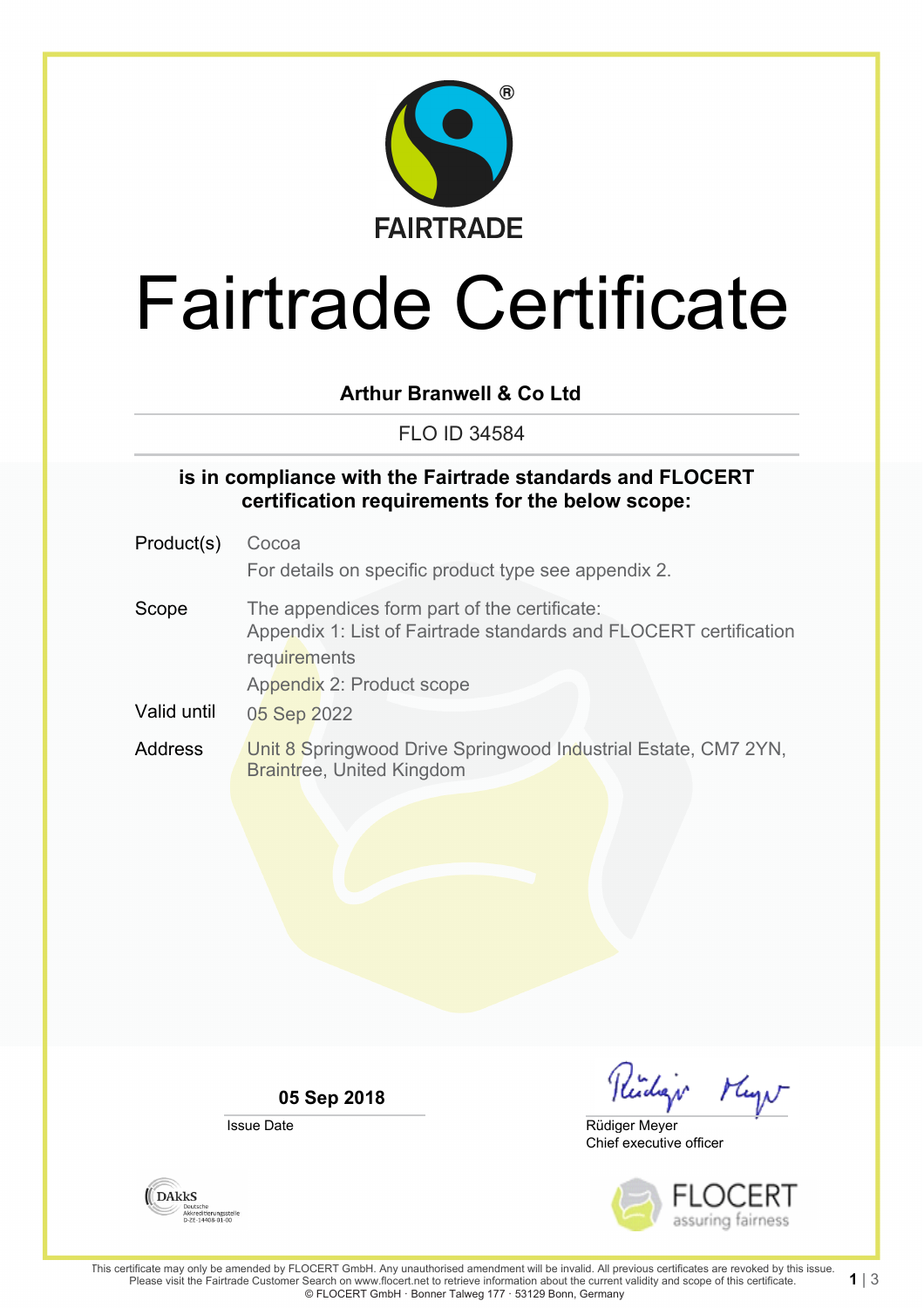

# Fairtrade Certificate

## **Arthur Branwell & Co Ltd**

FLO ID 34584

#### **is in compliance with the Fairtrade standards and FLOCERT certification requirements for the below scope:**

- Product(s) Cocoa For details on specific product type see appendix 2. Scope The appendices form part of the certificate: Appendix 1: List of Fairtrade standards and FLOCERT certification **requirements** Appendix 2: Product scope Valid until 05 Sep 2022
- Address **Unit 8 Springwood Drive Springwood Industrial Estate, CM7 2YN,** Braintree, United Kingdom

**05 Sep 2018**

Issue Date

Reidige Mayn

Chief executive officer Rüdiger Meyer



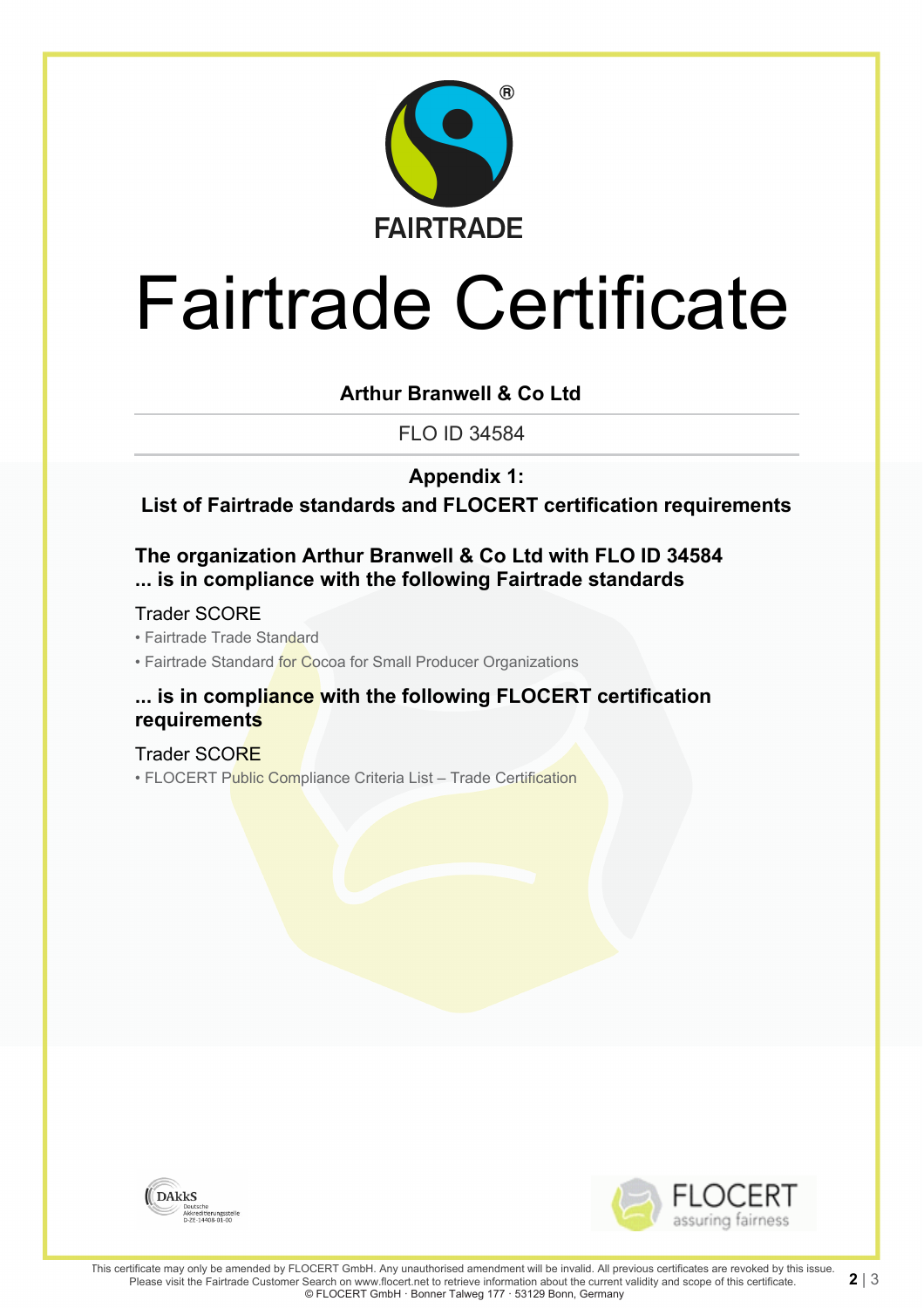

# Fairtrade Certificate

## **Arthur Branwell & Co Ltd**

FLO ID 34584

**Appendix 1:**

**List of Fairtrade standards and FLOCERT certification requirements**

### **The organization Arthur Branwell & Co Ltd with FLO ID 34584 ... is in compliance with the following Fairtrade standards**

Trader SCORE

• Fairtrade Trade Standard

• Fairtrade Standard for Cocoa for Small Producer Organizations

#### **... is in compliance with the following FLOCERT certification requirements**

Trader SCORE • FLOCERT Public Compliance Criteria List - Trade Certification